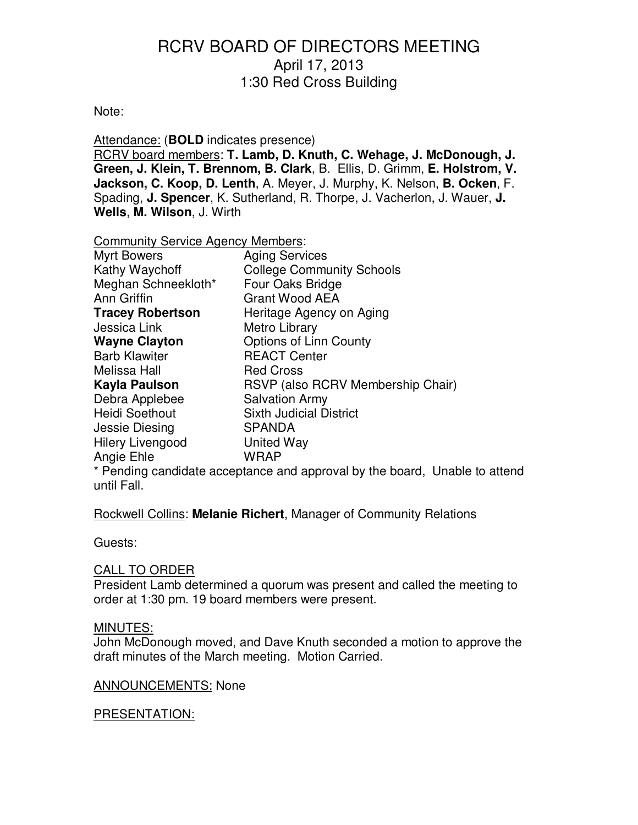#### Note:

Attendance: (**BOLD** indicates presence)

RCRV board members: **T. Lamb, D. Knuth, C. Wehage, J. McDonough, J. Green, J. Klein, T. Brennom, B. Clark**, B. Ellis, D. Grimm, **E. Holstrom, V. Jackson, C. Koop, D. Lenth**, A. Meyer, J. Murphy, K. Nelson, **B. Ocken**, F. Spading, **J. Spencer**, K. Sutherland, R. Thorpe, J. Vacherlon, J. Wauer, **J. Wells**, **M. Wilson**, J. Wirth

Community Service Agency Members:

| <b>Myrt Bowers</b>      | <b>Aging Services</b>             |
|-------------------------|-----------------------------------|
| Kathy Waychoff          | <b>College Community Schools</b>  |
| Meghan Schneekloth*     | Four Oaks Bridge                  |
| Ann Griffin             | <b>Grant Wood AEA</b>             |
| <b>Tracey Robertson</b> | Heritage Agency on Aging          |
| Jessica Link            | Metro Library                     |
| <b>Wayne Clayton</b>    | <b>Options of Linn County</b>     |
| <b>Barb Klawiter</b>    | <b>REACT Center</b>               |
| Melissa Hall            | <b>Red Cross</b>                  |
| <b>Kayla Paulson</b>    | RSVP (also RCRV Membership Chair) |
| Debra Applebee          | <b>Salvation Army</b>             |
| <b>Heidi Soethout</b>   | <b>Sixth Judicial District</b>    |
| Jessie Diesing          | <b>SPANDA</b>                     |
| Hilery Livengood        | United Way                        |
| Angie Ehle              | WRAP                              |

\* Pending candidate acceptance and approval by the board, Unable to attend until Fall.

Rockwell Collins: **Melanie Richert**, Manager of Community Relations

Guests:

#### CALL TO ORDER

President Lamb determined a quorum was present and called the meeting to order at 1:30 pm. 19 board members were present.

#### MINUTES:

John McDonough moved, and Dave Knuth seconded a motion to approve the draft minutes of the March meeting. Motion Carried.

#### ANNOUNCEMENTS: None

#### PRESENTATION: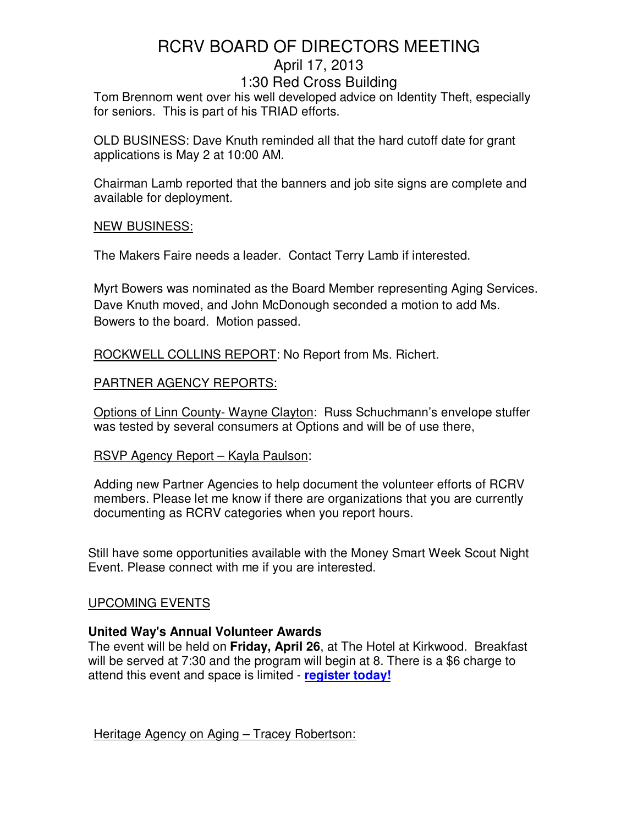Tom Brennom went over his well developed advice on Identity Theft, especially for seniors. This is part of his TRIAD efforts.

OLD BUSINESS: Dave Knuth reminded all that the hard cutoff date for grant applications is May 2 at 10:00 AM.

Chairman Lamb reported that the banners and job site signs are complete and available for deployment.

### NEW BUSINESS:

The Makers Faire needs a leader. Contact Terry Lamb if interested.

Myrt Bowers was nominated as the Board Member representing Aging Services. Dave Knuth moved, and John McDonough seconded a motion to add Ms. Bowers to the board. Motion passed.

ROCKWELL COLLINS REPORT: No Report from Ms. Richert.

## PARTNER AGENCY REPORTS:

Options of Linn County- Wayne Clayton: Russ Schuchmann's envelope stuffer was tested by several consumers at Options and will be of use there,

### RSVP Agency Report – Kayla Paulson:

Adding new Partner Agencies to help document the volunteer efforts of RCRV members. Please let me know if there are organizations that you are currently documenting as RCRV categories when you report hours.

Still have some opportunities available with the Money Smart Week Scout Night Event. Please connect with me if you are interested.

## UPCOMING EVENTS

## **United Way's Annual Volunteer Awards**

The event will be held on **Friday, April 26**, at The Hotel at Kirkwood. Breakfast will be served at 7:30 and the program will begin at 8. There is a \$6 charge to attend this event and space is limited - **register today!**

Heritage Agency on Aging – Tracey Robertson: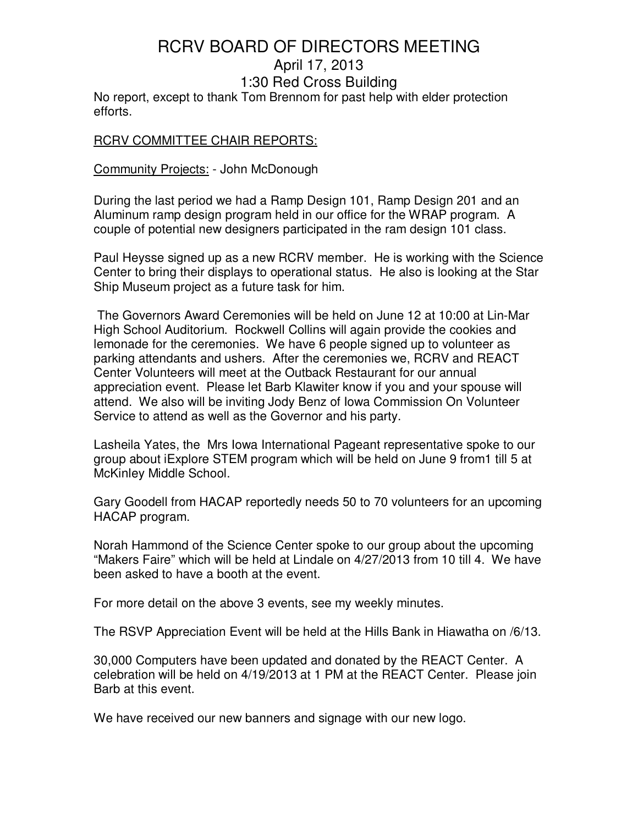No report, except to thank Tom Brennom for past help with elder protection efforts.

### RCRV COMMITTEE CHAIR REPORTS:

#### Community Projects: - John McDonough

During the last period we had a Ramp Design 101, Ramp Design 201 and an Aluminum ramp design program held in our office for the WRAP program. A couple of potential new designers participated in the ram design 101 class.

Paul Heysse signed up as a new RCRV member. He is working with the Science Center to bring their displays to operational status. He also is looking at the Star Ship Museum project as a future task for him.

 The Governors Award Ceremonies will be held on June 12 at 10:00 at Lin-Mar High School Auditorium. Rockwell Collins will again provide the cookies and lemonade for the ceremonies. We have 6 people signed up to volunteer as parking attendants and ushers. After the ceremonies we, RCRV and REACT Center Volunteers will meet at the Outback Restaurant for our annual appreciation event. Please let Barb Klawiter know if you and your spouse will attend. We also will be inviting Jody Benz of Iowa Commission On Volunteer Service to attend as well as the Governor and his party.

Lasheila Yates, the Mrs Iowa International Pageant representative spoke to our group about iExplore STEM program which will be held on June 9 from1 till 5 at McKinley Middle School.

Gary Goodell from HACAP reportedly needs 50 to 70 volunteers for an upcoming HACAP program.

Norah Hammond of the Science Center spoke to our group about the upcoming "Makers Faire" which will be held at Lindale on 4/27/2013 from 10 till 4. We have been asked to have a booth at the event.

For more detail on the above 3 events, see my weekly minutes.

The RSVP Appreciation Event will be held at the Hills Bank in Hiawatha on /6/13.

30,000 Computers have been updated and donated by the REACT Center. A celebration will be held on 4/19/2013 at 1 PM at the REACT Center. Please join Barb at this event.

We have received our new banners and signage with our new logo.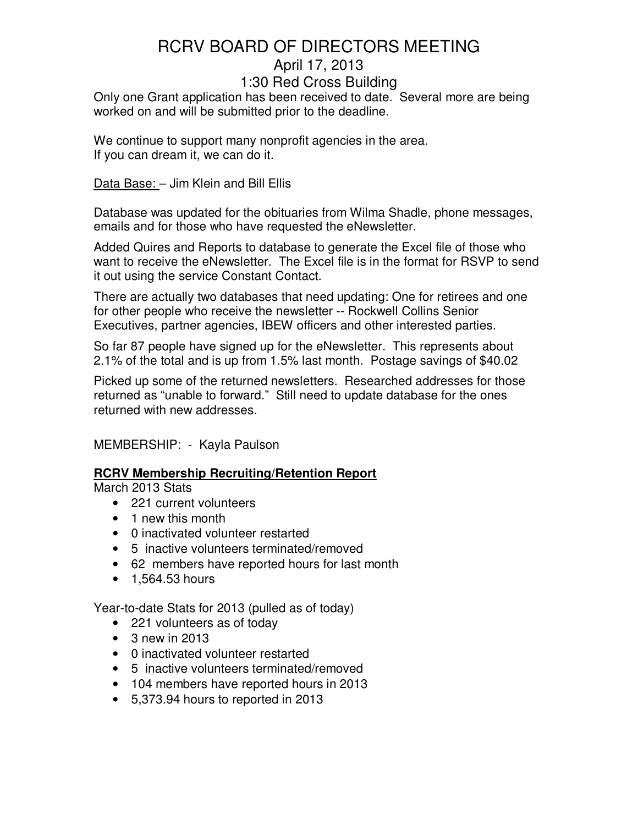Only one Grant application has been received to date. Several more are being worked on and will be submitted prior to the deadline.

We continue to support many nonprofit agencies in the area. If you can dream it, we can do it.

Data Base: – Jim Klein and Bill Ellis

Database was updated for the obituaries from Wilma Shadle, phone messages, emails and for those who have requested the eNewsletter.

Added Quires and Reports to database to generate the Excel file of those who want to receive the eNewsletter. The Excel file is in the format for RSVP to send it out using the service Constant Contact.

There are actually two databases that need updating: One for retirees and one for other people who receive the newsletter -- Rockwell Collins Senior Executives, partner agencies, IBEW officers and other interested parties.

So far 87 people have signed up for the eNewsletter. This represents about 2.1% of the total and is up from 1.5% last month. Postage savings of \$40.02

Picked up some of the returned newsletters. Researched addresses for those returned as "unable to forward." Still need to update database for the ones returned with new addresses.

MEMBERSHIP: - Kayla Paulson

## **RCRV Membership Recruiting/Retention Report**

March 2013 Stats

- 221 current volunteers
- 1 new this month
- 0 inactivated volunteer restarted
- 5 inactive volunteers terminated/removed
- 62 members have reported hours for last month
- 1,564.53 hours

Year-to-date Stats for 2013 (pulled as of today)

- 221 volunteers as of today
- 3 new in 2013
- 0 inactivated volunteer restarted
- 5 inactive volunteers terminated/removed
- 104 members have reported hours in 2013
- 5,373.94 hours to reported in 2013